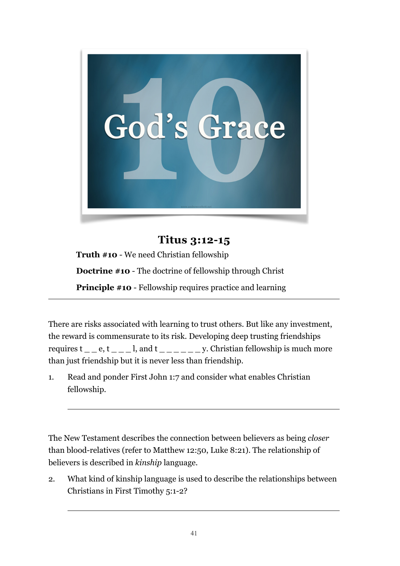

**Titus 3:12-15 Truth #10** - We need Christian fellowship **Doctrine #10** - The doctrine of fellowship through Christ **Principle #10** - Fellowship requires practice and learning

There are risks associated with learning to trust others. But like any investment, the reward is commensurate to its risk. Developing deep trusting friendships requires  $t_ -$  e,  $t_ -$  l, and  $t_ y$ . Christian fellowship is much more than just friendship but it is never less than friendship.

1. Read and ponder First John 1:7 and consider what enables Christian fellowship.

The New Testament describes the connection between believers as being *closer* than blood-relatives (refer to Matthew 12:50, Luke 8:21). The relationship of believers is described in *kinship* language.

2. What kind of kinship language is used to describe the relationships between Christians in First Timothy 5:1-2?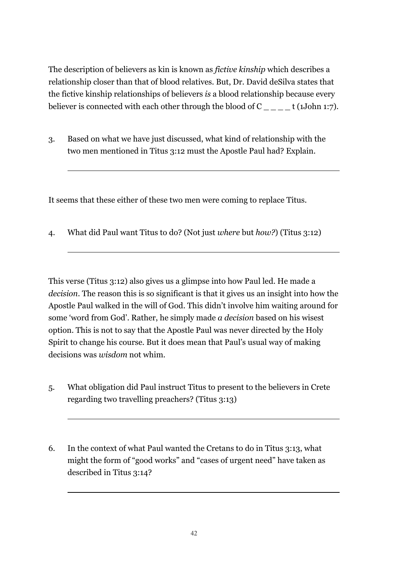The description of believers as kin is known as *fictive kinship* which describes a relationship closer than that of blood relatives. But, Dr. David deSilva states that the fictive kinship relationships of believers *is* a blood relationship because every believer is connected with each other through the blood of  $C \t{1John 1:7}.$ 

3. Based on what we have just discussed, what kind of relationship with the two men mentioned in Titus 3:12 must the Apostle Paul had? Explain.

It seems that these either of these two men were coming to replace Titus.

4. What did Paul want Titus to do? (Not just *where* but *how?*) (Titus 3:12)

This verse (Titus 3:12) also gives us a glimpse into how Paul led. He made a *decision*. The reason this is so significant is that it gives us an insight into how the Apostle Paul walked in the will of God. This didn't involve him waiting around for some 'word from God'. Rather, he simply made *a decision* based on his wisest option. This is not to say that the Apostle Paul was never directed by the Holy Spirit to change his course. But it does mean that Paul's usual way of making decisions was *wisdom* not whim.

- 5. What obligation did Paul instruct Titus to present to the believers in Crete regarding two travelling preachers? (Titus 3:13)
- 6. In the context of what Paul wanted the Cretans to do in Titus 3:13, what might the form of "good works" and "cases of urgent need" have taken as described in Titus 3:14?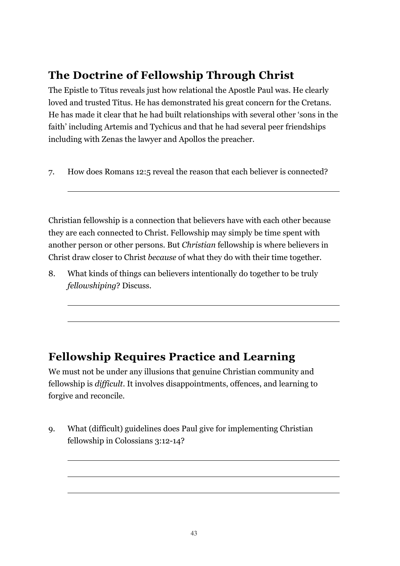## **The Doctrine of Fellowship Through Christ**

The Epistle to Titus reveals just how relational the Apostle Paul was. He clearly loved and trusted Titus. He has demonstrated his great concern for the Cretans. He has made it clear that he had built relationships with several other 'sons in the faith' including Artemis and Tychicus and that he had several peer friendships including with Zenas the lawyer and Apollos the preacher.

7. How does Romans 12:5 reveal the reason that each believer is connected?

Christian fellowship is a connection that believers have with each other because they are each connected to Christ. Fellowship may simply be time spent with another person or other persons. But *Christian* fellowship is where believers in Christ draw closer to Christ *because* of what they do with their time together.

8. What kinds of things can believers intentionally do together to be truly *fellowshiping*? Discuss.

## **Fellowship Requires Practice and Learning**

We must not be under any illusions that genuine Christian community and fellowship is *difficult*. It involves disappointments, offences, and learning to forgive and reconcile.

9. What (difficult) guidelines does Paul give for implementing Christian fellowship in Colossians 3:12-14?